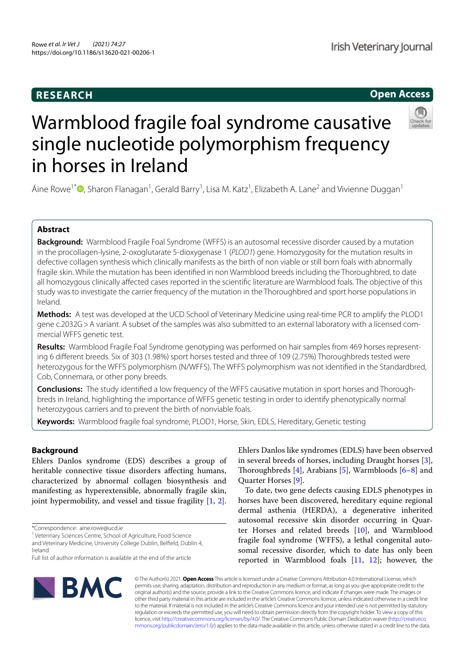# **RESEARCH**

# **Open Access**

Check fo

# Warmblood fragile foal syndrome causative single nucleotide polymorphism frequency in horses in Ireland

Áine Rowe<sup>1\*</sup>®, Sharon Flanagan<sup>1</sup>, Gerald Barry<sup>1</sup>, Lisa M. Katz<sup>1</sup>, Elizabeth A. Lane<sup>2</sup> and Vivienne Duggan<sup>1</sup>

# **Abstract**

**Background:** Warmblood Fragile Foal Syndrome (WFFS) is an autosomal recessive disorder caused by a mutation in the procollagen-lysine, 2-oxoglutarate 5-dioxygenase 1 (*PLOD1*) gene. Homozygosity for the mutation results in defective collagen synthesis which clinically manifests as the birth of non viable or still born foals with abnormally fragile skin. While the mutation has been identified in non Warmblood breeds including the Thoroughbred, to date all homozygous clinically affected cases reported in the scientific literature are Warmblood foals. The objective of this study was to investigate the carrier frequency of the mutation in the Thoroughbred and sport horse populations in Ireland.

**Methods:** A test was developed at the UCD School of Veterinary Medicine using real-time PCR to amplify the PLOD1 gene c.2032G>A variant. A subset of the samples was also submitted to an external laboratory with a licensed commercial WFFS genetic test.

**Results:** Warmblood Fragile Foal Syndrome genotyping was performed on hair samples from 469 horses representing 6 different breeds. Six of 303 (1.98%) sport horses tested and three of 109 (2.75%) Thoroughbreds tested were heterozygous for the WFFS polymorphism (N/WFFS). The WFFS polymorphism was not identified in the Standardbred, Cob, Connemara, or other pony breeds.

**Conclusions:** The study identified a low frequency of the WFFS causative mutation in sport horses and Thoroughbreds in Ireland, highlighting the importance of WFFS genetic testing in order to identify phenotypically normal heterozygous carriers and to prevent the birth of nonviable foals.

**Keywords:** Warmblood fragile foal syndrome, PLOD1, Horse, Skin, EDLS, Hereditary, Genetic testing

# **Background**

Ehlers Danlos syndrome (EDS) describes a group of heritable connective tissue disorders affecting humans, characterized by abnormal collagen biosynthesis and manifesting as hyperextensible, abnormally fragile skin, joint hypermobility, and vessel and tissue fragility [1, 2].

\*Correspondence: aine.rowe@ucd.ie

<sup>1</sup> Veterinary Sciences Centre, School of Agriculture, Food Science and Veterinary Medicine, University College Dublin, Belfield, Dublin 4, Ireland

Full list of author information is available at the end of the article

Ehlers Danlos like syndromes (EDLS) have been observed in several breeds of horses, including Draught horses [3], Thoroughbreds [4], Arabians [5], Warmbloods [6–8] and Quarter Horses [9].

To date, two gene defects causing EDLS phenotypes in horses have been discovered, hereditary equine regional dermal asthenia (HERDA), a degenerative inherited autosomal recessive skin disorder occurring in Quarter Horses and related breeds  $[10]$ , and Warmblood fragile foal syndrome (WFFS), a lethal congenital autosomal recessive disorder, which to date has only been reported in Warmblood foals [11, 12]; however, the



© The Author(s) 2021. **Open Access** This article is licensed under a Creative Commons Attribution 4.0 International License, which permits use, sharing, adaptation, distribution and reproduction in any medium or format, as long as you give appropriate credit to the original author(s) and the source, provide a link to the Creative Commons licence, and indicate if changes were made. The images or other third party material in this article are included in the article's Creative Commons licence, unless indicated otherwise in a credit line to the material. If material is not included in the article's Creative Commons licence and your intended use is not permitted by statutory regulation or exceeds the permitted use, you will need to obtain permission directly from the copyright holder. To view a copy of this licence, visit http://creativecommons.org/licenses/by/4.0/. The Creative Commons Public Domain Dedication waiver (http://creativeco mmons.org/publicdomain/zero/1.0/) applies to the data made available in this article, unless otherwise stated in a credit line to the data.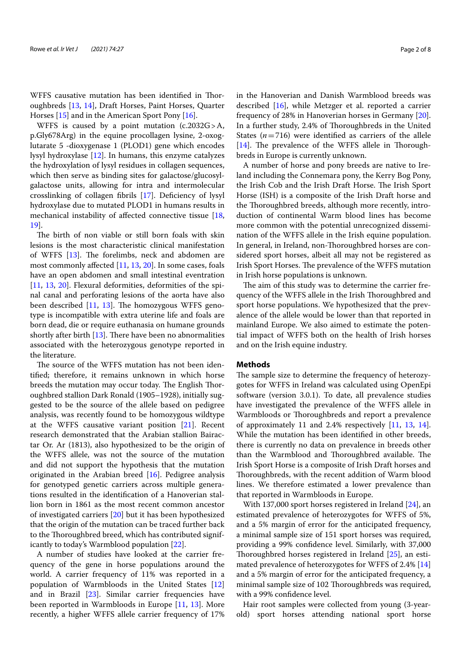WFFS causative mutation has been identified in Thoroughbreds [13, 14], Draft Horses, Paint Horses, Quarter Horses [15] and in the American Sport Pony [16].

WFFS is caused by a point mutation (c.2032G>A, p.Gly678Arg) in the equine procollagen lysine, 2-oxoglutarate 5 -dioxygenase 1 (PLOD1) gene which encodes lysyl hydroxylase [12]. In humans, this enzyme catalyzes the hydroxylation of lysyl residues in collagen sequences, which then serve as binding sites for galactose/glucosylgalactose units, allowing for intra and intermolecular crosslinking of collagen fibrils [17]. Deficiency of lysyl hydroxylase due to mutated PLOD1 in humans results in mechanical instability of affected connective tissue [18, 19].

The birth of non viable or still born foals with skin lesions is the most characteristic clinical manifestation of WFFS [13]. The forelimbs, neck and abdomen are most commonly affected [11, 13, 20]. In some cases, foals have an open abdomen and small intestinal eventration [11, 13, 20]. Flexural deformities, deformities of the spinal canal and perforating lesions of the aorta have also been described [11, 13]. The homozygous WFFS genotype is incompatible with extra uterine life and foals are born dead, die or require euthanasia on humane grounds shortly after birth  $[13]$ . There have been no abnormalities associated with the heterozygous genotype reported in the literature.

The source of the WFFS mutation has not been identified; therefore, it remains unknown in which horse breeds the mutation may occur today. The English Thoroughbred stallion Dark Ronald (1905–1928), initially suggested to be the source of the allele based on pedigree analysis, was recently found to be homozygous wildtype at the WFFS causative variant position [21]. Recent research demonstrated that the Arabian stallion Bairactar Or. Ar (1813), also hypothesized to be the origin of the WFFS allele, was not the source of the mutation and did not support the hypothesis that the mutation originated in the Arabian breed [16]. Pedigree analysis for genotyped genetic carriers across multiple generations resulted in the identification of a Hanoverian stallion born in 1861 as the most recent common ancestor of investigated carriers [20] but it has been hypothesized that the origin of the mutation can be traced further back to the Thoroughbred breed, which has contributed significantly to today's Warmblood population [22].

A number of studies have looked at the carrier frequency of the gene in horse populations around the world. A carrier frequency of 11% was reported in a population of Warmbloods in the United States [12] and in Brazil [23]. Similar carrier frequencies have been reported in Warmbloods in Europe [11, 13]. More recently, a higher WFFS allele carrier frequency of 17% in the Hanoverian and Danish Warmblood breeds was described [16], while Metzger et al. reported a carrier frequency of 28% in Hanoverian horses in Germany [20]. In a further study, 2.4% of Thoroughbreds in the United States  $(n=716)$  were identified as carriers of the allele [14]. The prevalence of the WFFS allele in Thoroughbreds in Europe is currently unknown.

A number of horse and pony breeds are native to Ireland including the Connemara pony, the Kerry Bog Pony, the Irish Cob and the Irish Draft Horse. The Irish Sport Horse (ISH) is a composite of the Irish Draft horse and the Thoroughbred breeds, although more recently, introduction of continental Warm blood lines has become more common with the potential unrecognized dissemination of the WFFS allele in the Irish equine population. In general, in Ireland, non-Thoroughbred horses are considered sport horses, albeit all may not be registered as Irish Sport Horses. The prevalence of the WFFS mutation in Irish horse populations is unknown.

The aim of this study was to determine the carrier frequency of the WFFS allele in the Irish Thoroughbred and sport horse populations. We hypothesized that the prevalence of the allele would be lower than that reported in mainland Europe. We also aimed to estimate the potential impact of WFFS both on the health of Irish horses and on the Irish equine industry.

# **Methods**

The sample size to determine the frequency of heterozygotes for WFFS in Ireland was calculated using OpenEpi software (version 3.0.1). To date, all prevalence studies have investigated the prevalence of the WFFS allele in Warmbloods or Thoroughbreds and report a prevalence of approximately 11 and 2.4% respectively [11, 13, 14]. While the mutation has been identified in other breeds, there is currently no data on prevalence in breeds other than the Warmblood and Thoroughbred available. The Irish Sport Horse is a composite of Irish Draft horses and Thoroughbreds, with the recent addition of Warm blood lines. We therefore estimated a lower prevalence than that reported in Warmbloods in Europe.

With 137,000 sport horses registered in Ireland [24], an estimated prevalence of heterozygotes for WFFS of 5%, and a 5% margin of error for the anticipated frequency, a minimal sample size of 151 sport horses was required, providing a 99% confidence level. Similarly, with 37,000 Thoroughbred horses registered in Ireland [25], an estimated prevalence of heterozygotes for WFFS of 2.4% [14] and a 5% margin of error for the anticipated frequency, a minimal sample size of 102 Thoroughbreds was required, with a 99% confidence level.

Hair root samples were collected from young (3-yearold) sport horses attending national sport horse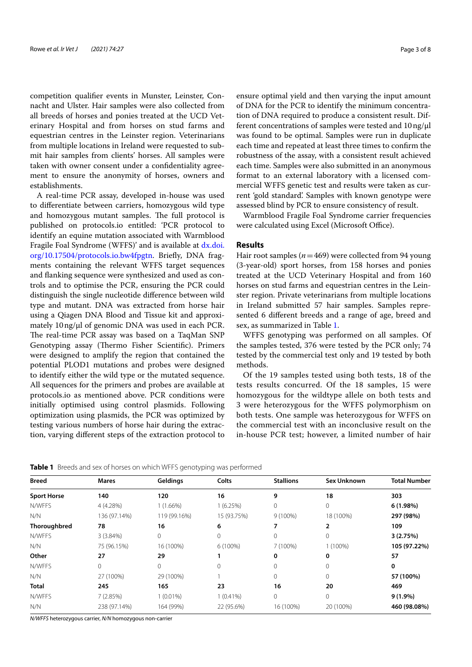competition qualifier events in Munster, Leinster, Connacht and Ulster. Hair samples were also collected from all breeds of horses and ponies treated at the UCD Veterinary Hospital and from horses on stud farms and equestrian centres in the Leinster region. Veterinarians from multiple locations in Ireland were requested to submit hair samples from clients' horses. All samples were taken with owner consent under a confidentiality agreement to ensure the anonymity of horses, owners and establishments.

A real-time PCR assay, developed in-house was used to differentiate between carriers, homozygous wild type and homozygous mutant samples. The full protocol is published on protocols.io entitled: 'PCR protocol to identify an equine mutation associated with Warmblood Fragile Foal Syndrome (WFFS)' and is available at dx.doi. org/10.17504/protocols.io.bw4fpgtn. Briefly, DNA fragments containing the relevant WFFS target sequences and flanking sequence were synthesized and used as controls and to optimise the PCR, ensuring the PCR could distinguish the single nucleotide difference between wild type and mutant. DNA was extracted from horse hair using a Qiagen DNA Blood and Tissue kit and approximately 10ng/μl of genomic DNA was used in each PCR. The real-time PCR assay was based on a TaqMan SNP Genotyping assay (Thermo Fisher Scientific). Primers were designed to amplify the region that contained the potential PLOD1 mutations and probes were designed to identify either the wild type or the mutated sequence. All sequences for the primers and probes are available at protocols.io as mentioned above. PCR conditions were initially optimised using control plasmids. Following optimization using plasmids, the PCR was optimized by testing various numbers of horse hair during the extraction, varying different steps of the extraction protocol to

ensure optimal yield and then varying the input amount of DNA for the PCR to identify the minimum concentration of DNA required to produce a consistent result. Different concentrations of samples were tested and 10ng/μl was found to be optimal. Samples were run in duplicate each time and repeated at least three times to confirm the robustness of the assay, with a consistent result achieved each time. Samples were also submitted in an anonymous format to an external laboratory with a licensed commercial WFFS genetic test and results were taken as current 'gold standard'. Samples with known genotype were assessed blind by PCR to ensure consistency of result.

Warmblood Fragile Foal Syndrome carrier frequencies were calculated using Excel (Microsoft Office).

# **Results**

Hair root samples (*n*=469) were collected from 94 young (3-year-old) sport horses, from 158 horses and ponies treated at the UCD Veterinary Hospital and from 160 horses on stud farms and equestrian centres in the Leinster region. Private veterinarians from multiple locations in Ireland submitted 57 hair samples. Samples represented 6 different breeds and a range of age, breed and sex, as summarized in Table 1.

WFFS genotyping was performed on all samples. Of the samples tested, 376 were tested by the PCR only; 74 tested by the commercial test only and 19 tested by both methods.

Of the 19 samples tested using both tests, 18 of the tests results concurred. Of the 18 samples, 15 were homozygous for the wildtype allele on both tests and 3 were heterozygous for the WFFS polymorphism on both tests. One sample was heterozygous for WFFS on the commercial test with an inconclusive result on the in-house PCR test; however, a limited number of hair

**Table 1** Breeds and sex of horses on which WFFS genotyping was performed

| <b>Breed</b>       | <b>Mares</b> | Geldings     | Colts        | <b>Stallions</b> | Sex Unknown | <b>Total Number</b> |
|--------------------|--------------|--------------|--------------|------------------|-------------|---------------------|
| <b>Sport Horse</b> | 140          | 120          | 16           | 9                | 18          | 303                 |
| N/WFFS             | 4 (4.28%)    | $1(1.66\%)$  | 1(6.25%)     | $\circ$          | $\circ$     | 6(1.98%)            |
| N/N                | 136 (97.14%) | 119 (99.16%) | 15 (93.75%)  | $9(100\%)$       | 18 (100%)   | 297 (98%)           |
| Thoroughbred       | 78           | 16           | 6            |                  | 2           | 109                 |
| N/WFFS             | 3(3.84%)     | 0            | $\mathbf{0}$ | $\mathbf{0}$     | 0           | 3(2.75%)            |
| N/N                | 75 (96.15%)  | 16 (100%)    | 6 (100%)     | 7 (100%)         | $(100\%)$   | 105 (97.22%)        |
| Other              | 27           | 29           |              | 0                | 0           | 57                  |
| N/WFFS             | 0            | 0            | $\Omega$     | $\Omega$         | 0           | 0                   |
| N/N                | 27 (100%)    | 29 (100%)    |              | $\circ$          | 0           | 57 (100%)           |
| <b>Total</b>       | 245          | 165          | 23           | 16               | 20          | 469                 |
| N/WFFS             | 7(2.85%)     | $1(0.01\%)$  | $1(0.41\%)$  | $\mathbf{0}$     | $\Omega$    | $9(1.9\%)$          |
| N/N                | 238 (97.14%) | 164 (99%)    | 22 (95.6%)   | 16 (100%)        | 20 (100%)   | 460 (98.08%)        |

N/WFFS heterozygous carrier, N/N homozygous non-carrier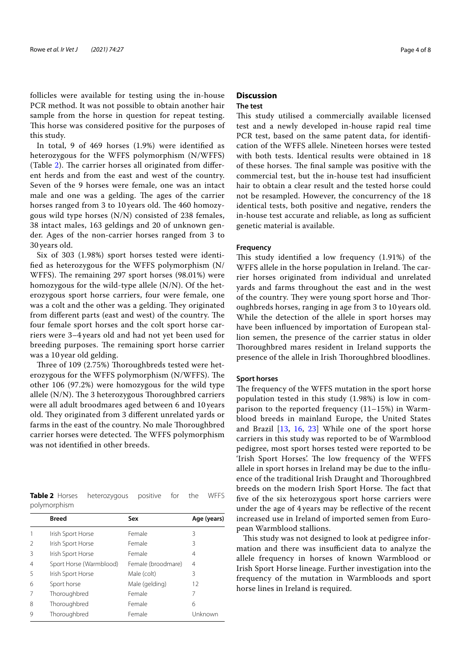follicles were available for testing using the in-house PCR method. It was not possible to obtain another hair sample from the horse in question for repeat testing. This horse was considered positive for the purposes of this study.

In total, 9 of 469 horses (1.9%) were identified as heterozygous for the WFFS polymorphism (N/WFFS) (Table 2). The carrier horses all originated from different herds and from the east and west of the country. Seven of the 9 horses were female, one was an intact male and one was a gelding. The ages of the carrier horses ranged from 3 to 10 years old. The 460 homozygous wild type horses (N/N) consisted of 238 females, 38 intact males, 163 geldings and 20 of unknown gender. Ages of the non-carrier horses ranged from 3 to 30 years old.

Six of 303 (1.98%) sport horses tested were identified as heterozygous for the WFFS polymorphism (N/ WFFS). The remaining 297 sport horses (98.01%) were homozygous for the wild-type allele (N/N). Of the heterozygous sport horse carriers, four were female, one was a colt and the other was a gelding. They originated from different parts (east and west) of the country. The four female sport horses and the colt sport horse carriers were 3–4 years old and had not yet been used for breeding purposes. The remaining sport horse carrier was a 10 year old gelding.

Three of 109 (2.75%) Thoroughbreds tested were heterozygous for the WFFS polymorphism (N/WFFS). The other 106 (97.2%) were homozygous for the wild type allele (N/N). The 3 heterozygous Thoroughbred carriers were all adult broodmares aged between 6 and 10 years old. They originated from 3 different unrelated yards or farms in the east of the country. No male Thoroughbred carrier horses were detected. The WFFS polymorphism was not identified in other breeds.

| <b>Table 2</b> Horses heterozygous positive for the WFFS |  |  |  |
|----------------------------------------------------------|--|--|--|
| polymorphism                                             |  |  |  |

|                | <b>Breed</b>            | Sex                | Age (years) |
|----------------|-------------------------|--------------------|-------------|
| 1              | Irish Sport Horse       | Female             | 3           |
| $\mathfrak{D}$ | Irish Sport Horse       | Female             | 3           |
| 3              | Irish Sport Horse       | Female             | 4           |
| $\overline{4}$ | Sport Horse (Warmblood) | Female (broodmare) | 4           |
| .5             | Irish Sport Horse       | Male (colt)        | 3           |
| 6              | Sport horse             | Male (gelding)     | 12          |
| 7              | Thoroughbred            | Female             | 7           |
| 8              | Thoroughbred            | Female             | 6           |
| 9              | Thoroughbred            | Female             | Unknown     |

# **Discussion**

# **The test**

This study utilised a commercially available licensed test and a newly developed in-house rapid real time PCR test, based on the same patent data, for identification of the WFFS allele. Nineteen horses were tested with both tests. Identical results were obtained in 18 of these horses. The final sample was positive with the commercial test, but the in-house test had insufficient hair to obtain a clear result and the tested horse could not be resampled. However, the concurrency of the 18 identical tests, both positive and negative, renders the in-house test accurate and reliable, as long as sufficient genetic material is available.

# **Frequency**

This study identified a low frequency (1.91%) of the WFFS allele in the horse population in Ireland. The carrier horses originated from individual and unrelated yards and farms throughout the east and in the west of the country. They were young sport horse and Thoroughbreds horses, ranging in age from 3 to 10 years old. While the detection of the allele in sport horses may have been influenced by importation of European stallion semen, the presence of the carrier status in older Thoroughbred mares resident in Ireland supports the presence of the allele in Irish Thoroughbred bloodlines.

# **Sport horses**

The frequency of the WFFS mutation in the sport horse population tested in this study (1.98%) is low in comparison to the reported frequency (11–15%) in Warmblood breeds in mainland Europe, the United States and Brazil [13, 16, 23] While one of the sport horse carriers in this study was reported to be of Warmblood pedigree, most sport horses tested were reported to be 'Irish Sport Horses'. The low frequency of the WFFS allele in sport horses in Ireland may be due to the influence of the traditional Irish Draught and Thoroughbred breeds on the modern Irish Sport Horse. The fact that five of the six heterozygous sport horse carriers were under the age of 4 years may be reflective of the recent increased use in Ireland of imported semen from European Warmblood stallions.

This study was not designed to look at pedigree information and there was insufficient data to analyze the allele frequency in horses of known Warmblood or Irish Sport Horse lineage. Further investigation into the frequency of the mutation in Warmbloods and sport horse lines in Ireland is required.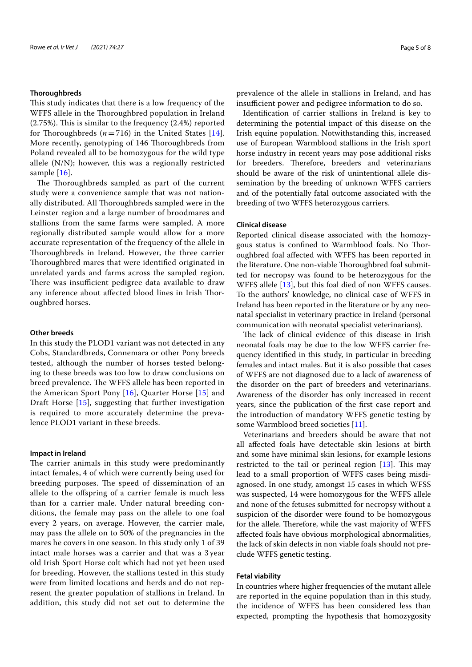# **Thoroughbreds**

This study indicates that there is a low frequency of the WFFS allele in the Thoroughbred population in Ireland (2.75%). This is similar to the frequency (2.4%) reported for Thoroughbreds  $(n=716)$  in the United States [14]. More recently, genotyping of 146 Thoroughbreds from Poland revealed all to be homozygous for the wild type allele (N/N); however, this was a regionally restricted sample [16].

The Thoroughbreds sampled as part of the current study were a convenience sample that was not nationally distributed. All Thoroughbreds sampled were in the Leinster region and a large number of broodmares and stallions from the same farms were sampled. A more regionally distributed sample would allow for a more accurate representation of the frequency of the allele in Thoroughbreds in Ireland. However, the three carrier Thoroughbred mares that were identified originated in unrelated yards and farms across the sampled region. There was insufficient pedigree data available to draw any inference about affected blood lines in Irish Thoroughbred horses.

# **Other breeds**

In this study the PLOD1 variant was not detected in any Cobs, Standardbreds, Connemara or other Pony breeds tested, although the number of horses tested belonging to these breeds was too low to draw conclusions on breed prevalence. The WFFS allele has been reported in the American Sport Pony  $[16]$ , Quarter Horse  $[15]$  and Draft Horse [15], suggesting that further investigation is required to more accurately determine the prevalence PLOD1 variant in these breeds.

# **Impact in Ireland**

The carrier animals in this study were predominantly intact females, 4 of which were currently being used for breeding purposes. The speed of dissemination of an allele to the offspring of a carrier female is much less than for a carrier male. Under natural breeding conditions, the female may pass on the allele to one foal every 2 years, on average. However, the carrier male, may pass the allele on to 50% of the pregnancies in the mares he covers in one season. In this study only 1 of 39 intact male horses was a carrier and that was a 3 year old Irish Sport Horse colt which had not yet been used for breeding. However, the stallions tested in this study were from limited locations and herds and do not represent the greater population of stallions in Ireland. In addition, this study did not set out to determine the

prevalence of the allele in stallions in Ireland, and has insufficient power and pedigree information to do so.

Identification of carrier stallions in Ireland is key to determining the potential impact of this disease on the Irish equine population. Notwithstanding this, increased use of European Warmblood stallions in the Irish sport horse industry in recent years may pose additional risks for breeders. Therefore, breeders and veterinarians should be aware of the risk of unintentional allele dissemination by the breeding of unknown WFFS carriers and of the potentially fatal outcome associated with the breeding of two WFFS heterozygous carriers.

# **Clinical disease**

Reported clinical disease associated with the homozygous status is confined to Warmblood foals. No Thoroughbred foal affected with WFFS has been reported in the literature. One non-viable Thoroughbred foal submitted for necropsy was found to be heterozygous for the WFFS allele [13], but this foal died of non WFFS causes. To the authors' knowledge, no clinical case of WFFS in Ireland has been reported in the literature or by any neonatal specialist in veterinary practice in Ireland (personal communication with neonatal specialist veterinarians).

The lack of clinical evidence of this disease in Irish neonatal foals may be due to the low WFFS carrier frequency identified in this study, in particular in breeding females and intact males. But it is also possible that cases of WFFS are not diagnosed due to a lack of awareness of the disorder on the part of breeders and veterinarians. Awareness of the disorder has only increased in recent years, since the publication of the first case report and the introduction of mandatory WFFS genetic testing by some Warmblood breed societies [11].

Veterinarians and breeders should be aware that not all affected foals have detectable skin lesions at birth and some have minimal skin lesions, for example lesions restricted to the tail or perineal region [13]. This may lead to a small proportion of WFFS cases being misdiagnosed. In one study, amongst 15 cases in which WFSS was suspected, 14 were homozygous for the WFFS allele and none of the fetuses submitted for necropsy without a suspicion of the disorder were found to be homozygous for the allele. Therefore, while the vast majority of WFFS affected foals have obvious morphological abnormalities, the lack of skin defects in non viable foals should not preclude WFFS genetic testing.

# **Fetal viability**

In countries where higher frequencies of the mutant allele are reported in the equine population than in this study, the incidence of WFFS has been considered less than expected, prompting the hypothesis that homozygosity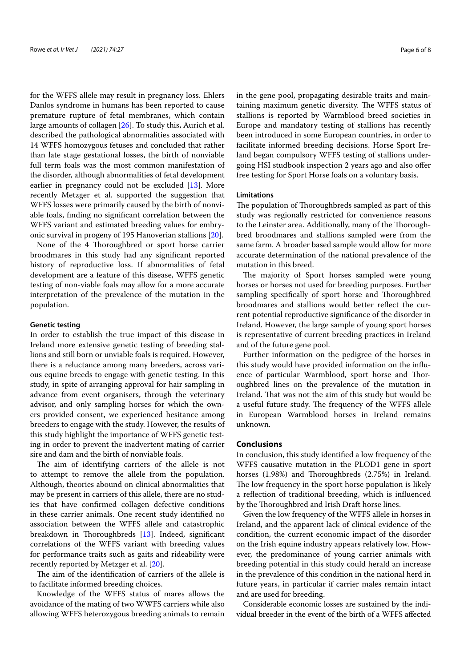for the WFFS allele may result in pregnancy loss. Ehlers Danlos syndrome in humans has been reported to cause premature rupture of fetal membranes, which contain large amounts of collagen [26]. To study this, Aurich et al. described the pathological abnormalities associated with 14 WFFS homozygous fetuses and concluded that rather than late stage gestational losses, the birth of nonviable full term foals was the most common manifestation of the disorder, although abnormalities of fetal development earlier in pregnancy could not be excluded [13]. More recently Metzger et al. supported the suggestion that WFFS losses were primarily caused by the birth of nonviable foals, finding no significant correlation between the WFFS variant and estimated breeding values for embryonic survival in progeny of 195 Hanoverian stallions [20].

None of the 4 Thoroughbred or sport horse carrier broodmares in this study had any significant reported history of reproductive loss. If abnormalities of fetal development are a feature of this disease, WFFS genetic testing of non-viable foals may allow for a more accurate interpretation of the prevalence of the mutation in the population.

# **Genetic testing**

In order to establish the true impact of this disease in Ireland more extensive genetic testing of breeding stallions and still born or unviable foals is required. However, there is a reluctance among many breeders, across various equine breeds to engage with genetic testing. In this study, in spite of arranging approval for hair sampling in advance from event organisers, through the veterinary advisor, and only sampling horses for which the owners provided consent, we experienced hesitance among breeders to engage with the study. However, the results of this study highlight the importance of WFFS genetic testing in order to prevent the inadvertent mating of carrier sire and dam and the birth of nonviable foals.

The aim of identifying carriers of the allele is not to attempt to remove the allele from the population. Although, theories abound on clinical abnormalities that may be present in carriers of this allele, there are no studies that have confirmed collagen defective conditions in these carrier animals. One recent study identified no association between the WFFS allele and catastrophic breakdown in Thoroughbreds [13]. Indeed, significant correlations of the WFFS variant with breeding values for performance traits such as gaits and rideability were recently reported by Metzger et al. [20].

The aim of the identification of carriers of the allele is to facilitate informed breeding choices.

Knowledge of the WFFS status of mares allows the avoidance of the mating of two WWFS carriers while also allowing WFFS heterozygous breeding animals to remain in the gene pool, propagating desirable traits and maintaining maximum genetic diversity. The WFFS status of stallions is reported by Warmblood breed societies in Europe and mandatory testing of stallions has recently been introduced in some European countries, in order to facilitate informed breeding decisions. Horse Sport Ireland began compulsory WFFS testing of stallions undergoing HSI studbook inspection 2 years ago and also offer free testing for Sport Horse foals on a voluntary basis.

# **Limitations**

The population of Thoroughbreds sampled as part of this study was regionally restricted for convenience reasons to the Leinster area. Additionally, many of the Thoroughbred broodmares and stallions sampled were from the same farm. A broader based sample would allow for more accurate determination of the national prevalence of the mutation in this breed.

The majority of Sport horses sampled were young horses or horses not used for breeding purposes. Further sampling specifically of sport horse and Thoroughbred broodmares and stallions would better reflect the current potential reproductive significance of the disorder in Ireland. However, the large sample of young sport horses is representative of current breeding practices in Ireland and of the future gene pool.

Further information on the pedigree of the horses in this study would have provided information on the influence of particular Warmblood, sport horse and Thoroughbred lines on the prevalence of the mutation in Ireland. That was not the aim of this study but would be a useful future study. The frequency of the WFFS allele in European Warmblood horses in Ireland remains unknown.

# **Conclusions**

In conclusion, this study identified a low frequency of the WFFS causative mutation in the PLOD1 gene in sport horses (1.98%) and Thoroughbreds (2.75%) in Ireland. The low frequency in the sport horse population is likely a reflection of traditional breeding, which is influenced by the Thoroughbred and Irish Draft horse lines.

Given the low frequency of the WFFS allele in horses in Ireland, and the apparent lack of clinical evidence of the condition, the current economic impact of the disorder on the Irish equine industry appears relatively low. However, the predominance of young carrier animals with breeding potential in this study could herald an increase in the prevalence of this condition in the national herd in future years, in particular if carrier males remain intact and are used for breeding.

Considerable economic losses are sustained by the individual breeder in the event of the birth of a WFFS affected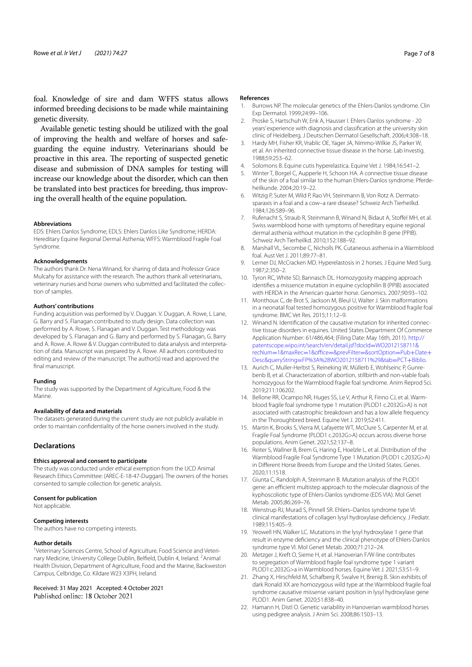foal. Knowledge of sire and dam WFFS status allows informed breeding decisions to be made while maintaining genetic diversity.

Available genetic testing should be utilized with the goal of improving the health and welfare of horses and safeguarding the equine industry. Veterinarians should be proactive in this area. The reporting of suspected genetic disease and submission of DNA samples for testing will increase our knowledge about the disorder, which can then be translated into best practices for breeding, thus improving the overall health of the equine population.

#### **Abbreviations**

EDS: Ehlers Danlos Syndrome; EDLS: Ehlers Danlos Like Syndrome; HERDA: Hereditary Equine Regional Dermal Asthenia; WFFS: Warmblood Fragile Foal Syndrome.

#### **Acknowledgements**

The authors thank Dr. Nena Winand, for sharing of data and Professor Grace Mulcahy for assistance with the research. The authors thank all veterinarians, veterinary nurses and horse owners who submitted and facilitated the collection of samples.

# **Authors' contributions**

Funding acquisition was performed by V. Duggan. V. Duggan, A. Rowe, L Lane, G. Barry and S. Flanagan contributed to study design. Data collection was performed by A. Rowe, S. Flanagan and V. Duggan. Test methodology was developed by S. Flanagan and G. Barry and performed by S. Flanagan, G. Barry and A. Rowe. A. Rowe & V. Duggan contributed to data analysis and interpretation of data. Manuscript was prepared by A. Rowe. All authors contributed to editing and review of the manuscript. The author(s) read and approved the final manuscript.

#### **Funding**

The study was supported by the Department of Agriculture, Food & the Marine.

# **Availability of data and materials**

The datasets generated during the current study are not publicly available in order to maintain confidentiality of the horse owners involved in the study.

# **Declarations**

#### **Ethics approval and consent to participate**

The study was conducted under ethical exemption from the UCD Animal Research Ethics Committee: (AREC-E-18-47-Duggan). The owners of the horses consented to sample collection for genetic analysis.

# **Consent for publication**

Not applicable.

# **Competing interests**

The authors have no competing interests.

#### **Author details**

<sup>1</sup>Veterinary Sciences Centre, School of Agriculture, Food Science and Veterinary Medicine, University College Dublin, Belfield, Dublin 4, Ireland.<sup>2</sup> Animal Health Division, Department of Agriculture, Food and the Marine, Backweston Campus, Celbridge, Co. Kildare W23 X3PH, Ireland.

# Received: 31 May 2021 Accepted: 4 October 2021<br>Published online: 18 October 2021

# **References**

- Burrows NP. The molecular genetics of the Ehlers-Danlos syndrome. Clin Exp Dermatol. 1999;24:99–106.
- 2. Proske S, Hartschuh W, Enk A, Hausser I. Ehlers-Danlos syndrome 20 years' experience with diagnosis and classification at the university skin clinic of Heidelberg. J Deutschen Dermatol Gesellschaft. 2006;4:308–18.
- 3. Hardy MH, Fisher KR, Vrablic OE, Yager JA, Nimmo-Wilkie JS, Parker W, et al. An inherited connective tissue disease in the horse. Lab Investig. 1988;59:253–62.
- 4. Solomons B. Equine cutis hyperelastica. Equine Vet J. 1984;16:541–2.
- 5. Winter T, Borgel C, Aupperle H, Schoon HA. A connective tissue disease of the skin of a foal similar to the human Ehlers-Danlos syndrome. Pferdeheilkunde. 2004;20:19–22.
- 6. Witzig P, Suter M, Wild P, Rao VH, Steinmann B, Von Rotz A. Dermatosparaxis in a foal and a cow–a rare disease? Schweiz Arch Tierheilkd. 1984;126:589–96.
- 7. Rufenacht S, Straub R, Steinmann B, Winand N, Bidaut A, Stoffel MH, et al. Swiss warmblood horse with symptoms of hereditary equine regional dermal asthenia without mutation in the cyclophilin B gene (PPIB). Schweiz Arch Tierheilkd. 2010;152:188–92.
- 8. Marshall VL, Secombe C, Nicholls PK. Cutaneous asthenia in a Warmblood foal. Aust Vet J. 2011;89:77–81.
- 9. Lerner DJ, McCracken MD. Hyperelastosis in 2 horses. J Equine Med Surg. 1987;2:350–2.
- 10. Tyron RC, White SD, Bannasch DL. Homozygosity mapping approach identifies a missence mutation in equine cyclophilin B (PPIB) associated with HERDA in the American quarter horse. Genomics. 2007;90:93–102.
- 11. Monthoux C, de Brot S, Jackson M, Bleul U, Walter J. Skin malformations in a neonatal foal tested homozygous positive for Warmblood fragile foal syndrome. BMC Vet Res. 2015;11:12–9.
- 12. Winand N. Identification of the causative mutation for inherited connective tissue disorders in equines. United States Department Of Commerce Application Number: 61/486,464; (Filing Date: May 16th, 2011). http:// patentscope.wipo.int/search/en/detail.jsf?docId=WO2012158711& recNum=1&maxRec=1&office=&prevFilter=&sortOption=Pub+Date+ Desc&queryString=FP%3A%28WO2012158711%29&tab=PCT+Biblio.
- 13. Aurich C, Muller-Herbst S, Reineking W, Müllerb E, Wohlseinc P, Gunrebenb B, et al. Characterization of abortion, stillbirth and non-viable foals homozygous for the Warmblood fragile foal syndrome. Anim Reprod Sci. 2019;211:106202.
- 14. Bellone RR, Ocampo NR, Huges SS, Le V, Arthur R, Finno CJ, et al. Warmblood fragile foal syndrome type 1 mutation (PLOD1 c.2032G>A) is not associated with catastrophic breakdown and has a low allele frequency in the Thoroughbred breed. Equine Vet J. 2019;52:411.
- 15. Martin K, Brooks S, Vierra M, Lafayette WT, McClure S, Carpenter M, et al. Fragile Foal Syndrome (PLOD1 c.2032G>A) occurs across diverse horse populations. Anim Genet. 2021;52:137–8.
- 16. Reiter S, Wallner B, Brem G, Haring E, Hoelzle L, et al. Distribution of the Warmblood Fragile Foal Syndrome Type 1 Mutation (PLOD1 c.2032G>A) in Different Horse Breeds from Europe and the United States. Genes. 2020;11:1518.
- 17. Giunta C, Randolph A, Steinmann B. Mutation analysis of the PLOD1 gene: an efficient multistep approach to the molecular diagnosis of the kyphoscoliotic type of Ehlers-Danlos syndrome (EDS VIA). Mol Genet Metab. 2005;86:269–76.
- 18. Wenstrup RJ, Murad S, Pinnell SR. Ehlers–Danlos syndrome type VI: clinical manifestations of collagen lysyl hydroxylase deficiency. J Pediatr. 1989;115:405–9.
- 19. Yeowell HN, Walker LC. Mutations in the lysyl hydroxylase 1 gene that result in enzyme deficiency and the clinical phenotype of Ehlers-Danlos syndrome type VI. Mol Genet Metab. 2000;71:212–24.
- 20. Metzger J, Kreft O, Sieme H, et al. Hanoverian F/W-line contributes to segregation of Warmblood fragile foal syndrome type 1 variant PLOD1:c.2032G>a in Warmblood horses. Equine Vet J. 2021;53:51–9.
- 21. Zhang X, Hirschfeld M, Schafberg R, Swalve H, Brenig B. Skin exhibits of dark Ronald XX are homozygous wild type at the Warmblood fragile foal syndrome causative missense variant position in lysyl hydroxylase gene PLOD1. Anim Genet. 2020;51:838–40.
- 22. Hamann H, Distl O. Genetic variability in Hanoverian warmblood horses using pedigree analysis. J Anim Sci. 2008;86:1503–13.